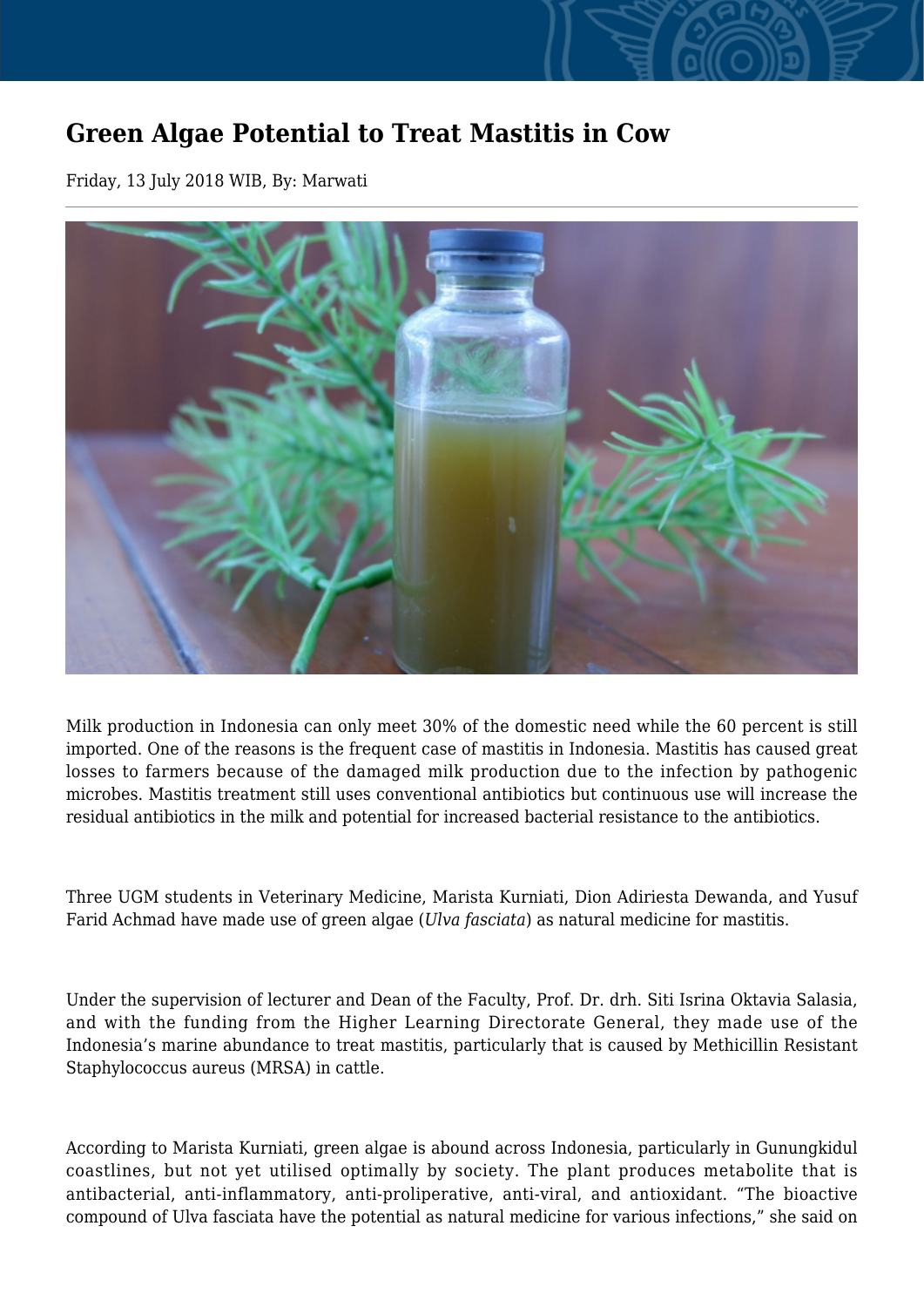## **Green Algae Potential to Treat Mastitis in Cow**

Friday, 13 July 2018 WIB, By: Marwati



Milk production in Indonesia can only meet 30% of the domestic need while the 60 percent is still imported. One of the reasons is the frequent case of mastitis in Indonesia. Mastitis has caused great losses to farmers because of the damaged milk production due to the infection by pathogenic microbes. Mastitis treatment still uses conventional antibiotics but continuous use will increase the residual antibiotics in the milk and potential for increased bacterial resistance to the antibiotics.

Three UGM students in Veterinary Medicine, Marista Kurniati, Dion Adiriesta Dewanda, and Yusuf Farid Achmad have made use of green algae (*Ulva fasciata*) as natural medicine for mastitis.

Under the supervision of lecturer and Dean of the Faculty, Prof. Dr. drh. Siti Isrina Oktavia Salasia, and with the funding from the Higher Learning Directorate General, they made use of the Indonesia's marine abundance to treat mastitis, particularly that is caused by Methicillin Resistant Staphylococcus aureus (MRSA) in cattle.

According to Marista Kurniati, green algae is abound across Indonesia, particularly in Gunungkidul coastlines, but not yet utilised optimally by society. The plant produces metabolite that is antibacterial, anti-inflammatory, anti-proliperative, anti-viral, and antioxidant. "The bioactive compound of Ulva fasciata have the potential as natural medicine for various infections," she said on